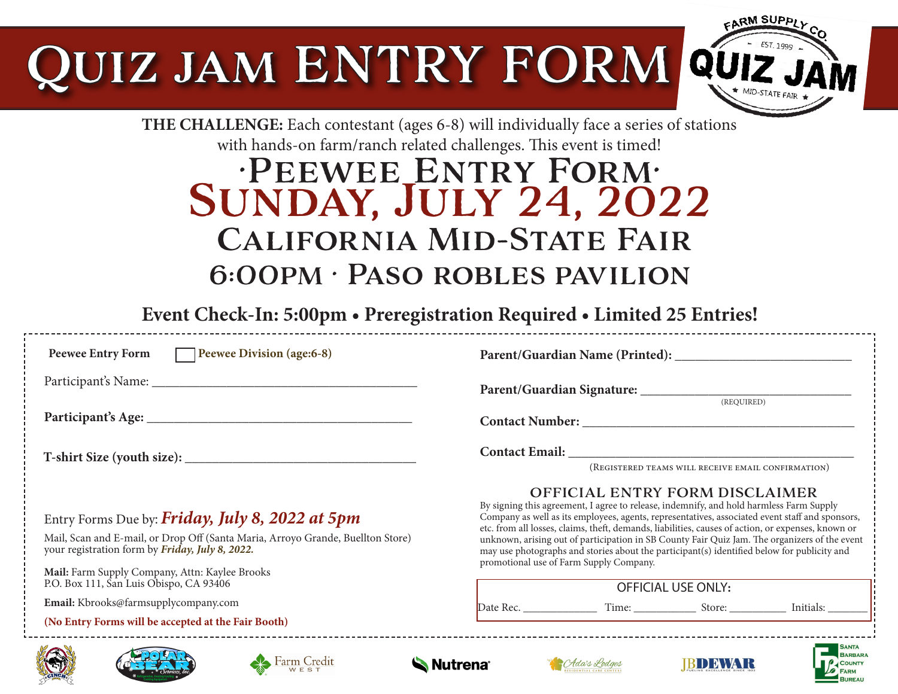# UIZ JAM ENTRY FORM



**BUREAU** 

### **THE CHALLENGE:** Each contestant (ages 6-8) will individually face a series of stations with hands-on farm/ranch related challenges. This event is timed!

# •Peewee Entry Form• Sunday, July 24, 2022 California Mid-State Fair 6:00pm • Paso robles pavilion

**Event Check-In: 5:00pm • Preregistration Required • Limited 25 Entries!**

| <b>Peewee Entry Form</b><br>Peewee Division (age:6-8)                                                                                                                                                                                   |                                                                                                                                                                                                                                                                                                                                                                                                                                                                                                                                                                                      |
|-----------------------------------------------------------------------------------------------------------------------------------------------------------------------------------------------------------------------------------------|--------------------------------------------------------------------------------------------------------------------------------------------------------------------------------------------------------------------------------------------------------------------------------------------------------------------------------------------------------------------------------------------------------------------------------------------------------------------------------------------------------------------------------------------------------------------------------------|
|                                                                                                                                                                                                                                         |                                                                                                                                                                                                                                                                                                                                                                                                                                                                                                                                                                                      |
|                                                                                                                                                                                                                                         | (REQUIRED)                                                                                                                                                                                                                                                                                                                                                                                                                                                                                                                                                                           |
|                                                                                                                                                                                                                                         | (REGISTERED TEAMS WILL RECEIVE EMAIL CONFIRMATION)                                                                                                                                                                                                                                                                                                                                                                                                                                                                                                                                   |
| Entry Forms Due by: Friday, July 8, 2022 at 5pm<br>Mail, Scan and E-mail, or Drop Off (Santa Maria, Arroyo Grande, Buellton Store)<br>your registration form by Friday, July 8, 2022.<br>Mail: Farm Supply Company, Attn: Kaylee Brooks | <b>OFFICIAL ENTRY FORM DISCLAIMER</b><br>By signing this agreement, I agree to release, indemnify, and hold harmless Farm Supply<br>Company as well as its employees, agents, representatives, associated event staff and sponsors,<br>etc. from all losses, claims, theft, demands, liabilities, causes of action, or expenses, known or<br>unknown, arising out of participation in SB County Fair Quiz Jam. The organizers of the event<br>may use photographs and stories about the participant(s) identified below for publicity and<br>promotional use of Farm Supply Company. |
| P.O. Box 111, San Luis Obispo, CA 93406                                                                                                                                                                                                 | <b>OFFICIAL USE ONLY:</b>                                                                                                                                                                                                                                                                                                                                                                                                                                                                                                                                                            |
| Email: Kbrooks@farmsupplycompany.com                                                                                                                                                                                                    |                                                                                                                                                                                                                                                                                                                                                                                                                                                                                                                                                                                      |
| (No Entry Forms will be accepted at the Fair Booth)                                                                                                                                                                                     |                                                                                                                                                                                                                                                                                                                                                                                                                                                                                                                                                                                      |
| <b>BARBARA</b><br>Farm Credit<br><b>Nutrena</b><br>CAda's Lodges<br><b>COUNTY</b>                                                                                                                                                       |                                                                                                                                                                                                                                                                                                                                                                                                                                                                                                                                                                                      |